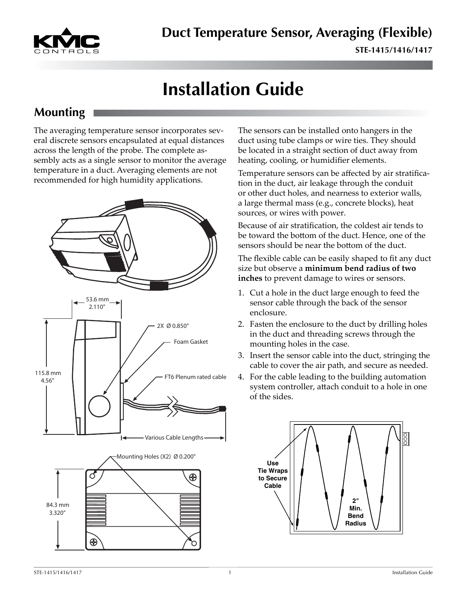

# **Installation Guide**

#### **Mounting**

The averaging temperature sensor incorporates several discrete sensors encapsulated at equal distances across the length of the probe. The complete assembly acts as a single sensor to monitor the average temperature in a duct. Averaging elements are not recommended for high humidity applications.



The sensors can be installed onto hangers in the duct using tube clamps or wire ties. They should be located in a straight section of duct away from heating, cooling, or humidifier elements.

Temperature sensors can be affected by air stratification in the duct, air leakage through the conduit or other duct holes, and nearness to exterior walls, a large thermal mass (e.g., concrete blocks), heat sources, or wires with power.

Because of air stratification, the coldest air tends to be toward the bottom of the duct. Hence, one of the sensors should be near the bottom of the duct.

The flexible cable can be easily shaped to fit any duct size but observe a **minimum bend radius of two inches** to prevent damage to wires or sensors.

- 1. Cut a hole in the duct large enough to feed the sensor cable through the back of the sensor enclosure.
- 2. Fasten the enclosure to the duct by drilling holes in the duct and threading screws through the mounting holes in the case.
- 3. Insert the sensor cable into the duct, stringing the cable to cover the air path, and secure as needed.
- 4. For the cable leading to the building automation system controller, attach conduit to a hole in one of the sides.